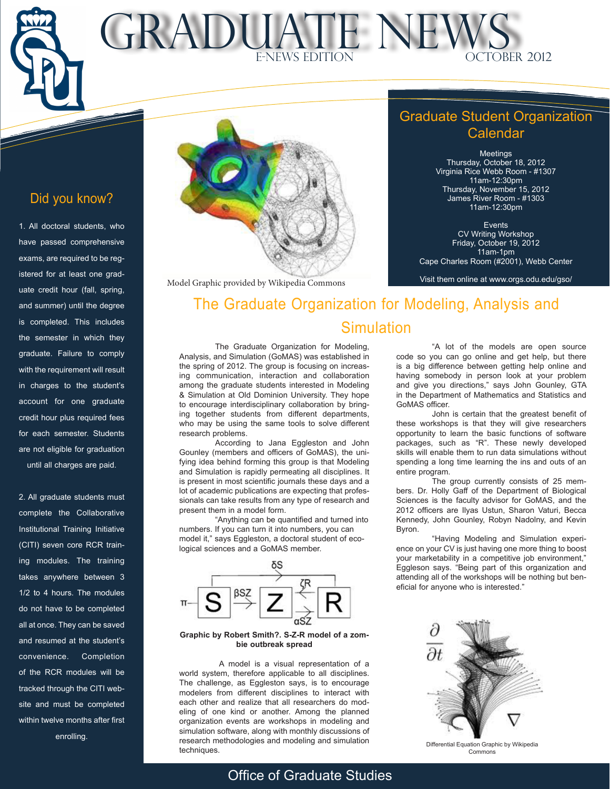$\sqrt{p}$ L $\overline{\phantom{m}}$ MONTH TM

 $\overline{\phantom{a}}$ 

### MONTHLY **GRADUATE NEWS** INFORMATION OCTOBER 2012



Model Graphic provided by Wikipedia Commons

### Graduate Student Organization Calendar

Meetings Thursday, October 18, 2012 Virginia Rice Webb Room - #1307 11am-12:30pm Thursday, November 15, 2012 James River Room - #1303 11am-12:30pm

Events CV Writing Workshop Friday, October 19, 2012 11am-1pm Cape Charles Room (#2001), Webb Center

Visit them online at www.orgs.odu.edu/gso/

# The Graduate Organization for Modeling, Analysis and **Simulation**

The Graduate Organization for Modeling, Analysis, and Simulation (GoMAS) was established in the spring of 2012. The group is focusing on increasing communication, interaction and collaboration among the graduate students interested in Modeling & Simulation at Old Dominion University. They hope to encourage interdisciplinary collaboration by bringing together students from different departments, who may be using the same tools to solve different research problems.

According to Jana Eggleston and John Gounley (members and officers of GoMAS), the unifying idea behind forming this group is that Modeling and Simulation is rapidly permeating all disciplines. It is present in most scientific journals these days and a lot of academic publications are expecting that professionals can take results from any type of research and present them in a model form.

"Anything can be quantified and turned into numbers. If you can turn it into numbers, you can model it," says Eggleston, a doctoral student of ecological sciences and a GoMAS member.



#### **Graphic by Robert Smith?. S-Z-R model of a zombie outbreak spread**

 A model is a visual representation of a world system, therefore applicable to all disciplines. The challenge, as Eggleston says, is to encourage modelers from different disciplines to interact with each other and realize that all researchers do modeling of one kind or another. Among the planned organization events are workshops in modeling and simulation software, along with monthly discussions of research methodologies and modeling and simulation techniques.

"A lot of the models are open source code so you can go online and get help, but there is a big difference between getting help online and having somebody in person look at your problem and give you directions," says John Gounley, GTA in the Department of Mathematics and Statistics and GoMAS officer.

John is certain that the greatest benefit of these workshops is that they will give researchers opportunity to learn the basic functions of software packages, such as "R". These newly developed skills will enable them to run data simulations without spending a long time learning the ins and outs of an entire program.

The group currently consists of 25 members. Dr. Holly Gaff of the Department of Biological Sciences is the faculty advisor for GoMAS, and the 2012 officers are Ilyas Ustun, Sharon Vaturi, Becca Kennedy, John Gounley, Robyn Nadolny, and Kevin Byron.

"Having Modeling and Simulation experience on your CV is just having one more thing to boost your marketability in a competitive job environment," Eggleson says. "Being part of this organization and attending all of the workshops will be nothing but beneficial for anyone who is interested."



Differential Equation Graphic by Wikipedia Commons

# Did you know?

1. All doctoral students, who have passed comprehensive exams, are required to be registered for at least one graduate credit hour (fall, spring, and summer) until the degree is completed. This includes the semester in which they graduate. Failure to comply with the requirement will result in charges to the student's account for one graduate credit hour plus required fees for each semester. Students are not eligible for graduation until all charges are paid.

2. All graduate students must complete the Collaborative Institutional Training Initiative (CITI) seven core RCR training modules. The training takes anywhere between 3 1/2 to 4 hours. The modules do not have to be completed all at once. They can be saved and resumed at the student's convenience. Completion of the RCR modules will be tracked through the CITI website and must be completed within twelve months after first enrolling.

## Office of Graduate Studies